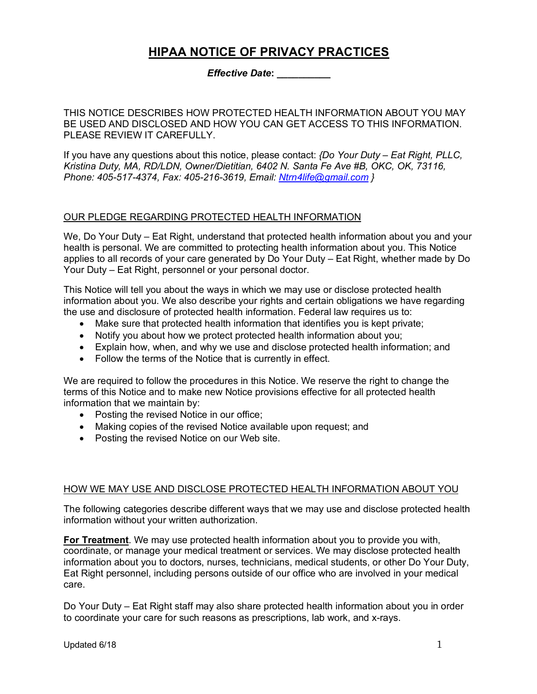# **HIPAA NOTICE OF PRIVACY PRACTICES**

*Effective Date***:** *\_\_\_\_\_\_\_\_\_\_*

THIS NOTICE DESCRIBES HOW PROTECTED HEALTH INFORMATION ABOUT YOU MAY BE USED AND DISCLOSED AND HOW YOU CAN GET ACCESS TO THIS INFORMATION. PLEASE REVIEW IT CAREFULLY.

If you have any questions about this notice, please contact: *{Do Your Duty – Eat Right, PLLC, Kristina Duty, MA, RD/LDN, Owner/Dietitian, 6402 N. Santa Fe Ave #B, OKC, OK, 73116, Phone: 405-517-4374, Fax: 405-216-3619, Email: Ntrn4life@gmail.com }*

## OUR PLEDGE REGARDING PROTECTED HEALTH INFORMATION

We, Do Your Duty – Eat Right, understand that protected health information about you and your health is personal. We are committed to protecting health information about you. This Notice applies to all records of your care generated by Do Your Duty – Eat Right, whether made by Do Your Duty – Eat Right, personnel or your personal doctor.

This Notice will tell you about the ways in which we may use or disclose protected health information about you. We also describe your rights and certain obligations we have regarding the use and disclosure of protected health information. Federal law requires us to:

- Make sure that protected health information that identifies you is kept private;
- Notify you about how we protect protected health information about you;
- Explain how, when, and why we use and disclose protected health information; and
- Follow the terms of the Notice that is currently in effect.

We are required to follow the procedures in this Notice. We reserve the right to change the terms of this Notice and to make new Notice provisions effective for all protected health information that we maintain by:

- Posting the revised Notice in our office;
- Making copies of the revised Notice available upon request; and
- Posting the revised Notice on our Web site.

#### HOW WE MAY USE AND DISCLOSE PROTECTED HEALTH INFORMATION ABOUT YOU

The following categories describe different ways that we may use and disclose protected health information without your written authorization.

**For Treatment**. We may use protected health information about you to provide you with, coordinate, or manage your medical treatment or services. We may disclose protected health information about you to doctors, nurses, technicians, medical students, or other Do Your Duty, Eat Right personnel, including persons outside of our office who are involved in your medical care.

Do Your Duty – Eat Right staff may also share protected health information about you in order to coordinate your care for such reasons as prescriptions, lab work, and x-rays.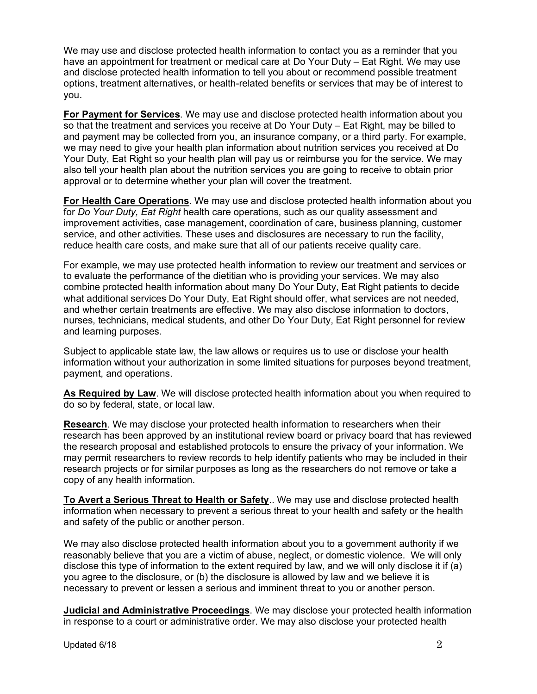We may use and disclose protected health information to contact you as a reminder that you have an appointment for treatment or medical care at Do Your Duty – Eat Right. We may use and disclose protected health information to tell you about or recommend possible treatment options, treatment alternatives, or health-related benefits or services that may be of interest to you.

**For Payment for Services**. We may use and disclose protected health information about you so that the treatment and services you receive at Do Your Duty – Eat Right, may be billed to and payment may be collected from you, an insurance company, or a third party. For example, we may need to give your health plan information about nutrition services you received at Do Your Duty, Eat Right so your health plan will pay us or reimburse you for the service. We may also tell your health plan about the nutrition services you are going to receive to obtain prior approval or to determine whether your plan will cover the treatment.

**For Health Care Operations**. We may use and disclose protected health information about you for *Do Your Duty, Eat Right* health care operations, such as our quality assessment and improvement activities, case management, coordination of care, business planning, customer service, and other activities. These uses and disclosures are necessary to run the facility, reduce health care costs, and make sure that all of our patients receive quality care.

For example, we may use protected health information to review our treatment and services or to evaluate the performance of the dietitian who is providing your services. We may also combine protected health information about many Do Your Duty, Eat Right patients to decide what additional services Do Your Duty, Eat Right should offer, what services are not needed, and whether certain treatments are effective. We may also disclose information to doctors, nurses, technicians, medical students, and other Do Your Duty, Eat Right personnel for review and learning purposes.

Subject to applicable state law, the law allows or requires us to use or disclose your health information without your authorization in some limited situations for purposes beyond treatment, payment, and operations.

**As Required by Law**. We will disclose protected health information about you when required to do so by federal, state, or local law.

**Research**. We may disclose your protected health information to researchers when their research has been approved by an institutional review board or privacy board that has reviewed the research proposal and established protocols to ensure the privacy of your information. We may permit researchers to review records to help identify patients who may be included in their research projects or for similar purposes as long as the researchers do not remove or take a copy of any health information.

**To Avert a Serious Threat to Health or Safety**.. We may use and disclose protected health information when necessary to prevent a serious threat to your health and safety or the health and safety of the public or another person.

We may also disclose protected health information about you to a government authority if we reasonably believe that you are a victim of abuse, neglect, or domestic violence. We will only disclose this type of information to the extent required by law, and we will only disclose it if (a) you agree to the disclosure, or (b) the disclosure is allowed by law and we believe it is necessary to prevent or lessen a serious and imminent threat to you or another person.

**Judicial and Administrative Proceedings**. We may disclose your protected health information in response to a court or administrative order. We may also disclose your protected health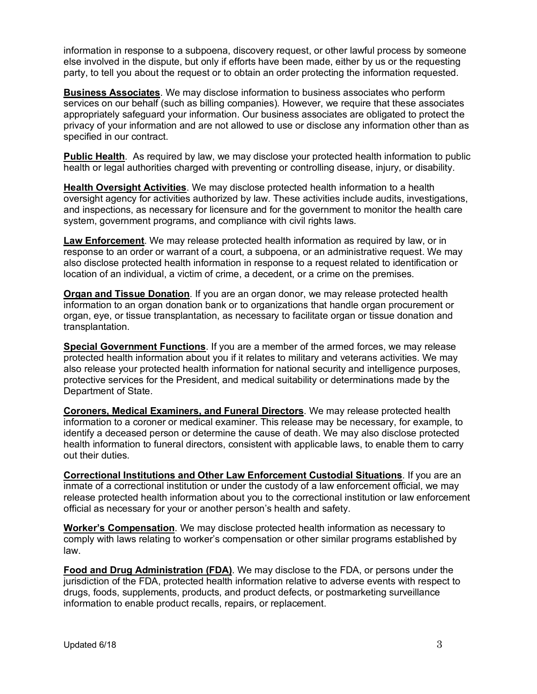information in response to a subpoena, discovery request, or other lawful process by someone else involved in the dispute, but only if efforts have been made, either by us or the requesting party, to tell you about the request or to obtain an order protecting the information requested.

**Business Associates**. We may disclose information to business associates who perform services on our behalf (such as billing companies). However, we require that these associates appropriately safeguard your information. Our business associates are obligated to protect the privacy of your information and are not allowed to use or disclose any information other than as specified in our contract.

**Public Health**. As required by law, we may disclose your protected health information to public health or legal authorities charged with preventing or controlling disease, injury, or disability.

**Health Oversight Activities**. We may disclose protected health information to a health oversight agency for activities authorized by law. These activities include audits, investigations, and inspections, as necessary for licensure and for the government to monitor the health care system, government programs, and compliance with civil rights laws.

**Law Enforcement**. We may release protected health information as required by law, or in response to an order or warrant of a court, a subpoena, or an administrative request. We may also disclose protected health information in response to a request related to identification or location of an individual, a victim of crime, a decedent, or a crime on the premises.

**Organ and Tissue Donation**. If you are an organ donor, we may release protected health information to an organ donation bank or to organizations that handle organ procurement or organ, eye, or tissue transplantation, as necessary to facilitate organ or tissue donation and transplantation.

**Special Government Functions**. If you are a member of the armed forces, we may release protected health information about you if it relates to military and veterans activities. We may also release your protected health information for national security and intelligence purposes, protective services for the President, and medical suitability or determinations made by the Department of State.

**Coroners, Medical Examiners, and Funeral Directors**. We may release protected health information to a coroner or medical examiner. This release may be necessary, for example, to identify a deceased person or determine the cause of death. We may also disclose protected health information to funeral directors, consistent with applicable laws, to enable them to carry out their duties.

**Correctional Institutions and Other Law Enforcement Custodial Situations**. If you are an inmate of a correctional institution or under the custody of a law enforcement official, we may release protected health information about you to the correctional institution or law enforcement official as necessary for your or another person's health and safety.

**Worker's Compensation**. We may disclose protected health information as necessary to comply with laws relating to worker's compensation or other similar programs established by law.

**Food and Drug Administration (FDA)**. We may disclose to the FDA, or persons under the jurisdiction of the FDA, protected health information relative to adverse events with respect to drugs, foods, supplements, products, and product defects, or postmarketing surveillance information to enable product recalls, repairs, or replacement.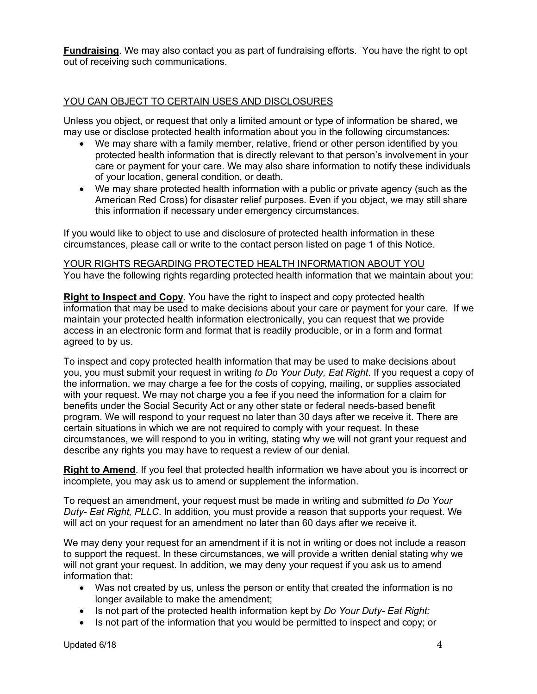**Fundraising**. We may also contact you as part of fundraising efforts. You have the right to opt out of receiving such communications.

### YOU CAN OBJECT TO CERTAIN USES AND DISCLOSURES

Unless you object, or request that only a limited amount or type of information be shared, we may use or disclose protected health information about you in the following circumstances:

- We may share with a family member, relative, friend or other person identified by you protected health information that is directly relevant to that person's involvement in your care or payment for your care. We may also share information to notify these individuals of your location, general condition, or death.
- We may share protected health information with a public or private agency (such as the American Red Cross) for disaster relief purposes. Even if you object, we may still share this information if necessary under emergency circumstances.

If you would like to object to use and disclosure of protected health information in these circumstances, please call or write to the contact person listed on page 1 of this Notice.

YOUR RIGHTS REGARDING PROTECTED HEALTH INFORMATION ABOUT YOU You have the following rights regarding protected health information that we maintain about you:

**Right to Inspect and Copy**. You have the right to inspect and copy protected health information that may be used to make decisions about your care or payment for your care. If we maintain your protected health information electronically, you can request that we provide access in an electronic form and format that is readily producible, or in a form and format agreed to by us.

To inspect and copy protected health information that may be used to make decisions about you, you must submit your request in writing *to Do Your Duty, Eat Right*. If you request a copy of the information, we may charge a fee for the costs of copying, mailing, or supplies associated with your request. We may not charge you a fee if you need the information for a claim for benefits under the Social Security Act or any other state or federal needs-based benefit program. We will respond to your request no later than 30 days after we receive it. There are certain situations in which we are not required to comply with your request. In these circumstances, we will respond to you in writing, stating why we will not grant your request and describe any rights you may have to request a review of our denial.

**Right to Amend**. If you feel that protected health information we have about you is incorrect or incomplete, you may ask us to amend or supplement the information.

To request an amendment, your request must be made in writing and submitted *to Do Your Duty- Eat Right, PLLC*. In addition, you must provide a reason that supports your request. We will act on your request for an amendment no later than 60 days after we receive it.

We may deny your request for an amendment if it is not in writing or does not include a reason to support the request. In these circumstances, we will provide a written denial stating why we will not grant your request. In addition, we may deny your request if you ask us to amend information that:

- Was not created by us, unless the person or entity that created the information is no longer available to make the amendment;
- Is not part of the protected health information kept by *Do Your Duty- Eat Right;*
- Is not part of the information that you would be permitted to inspect and copy; or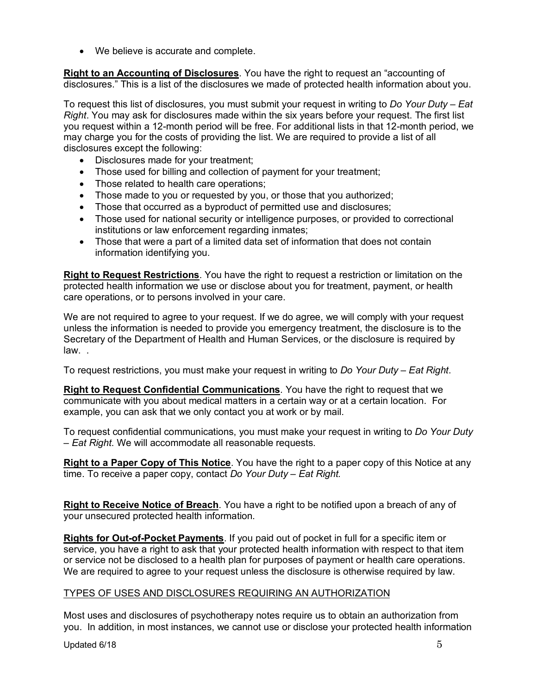• We believe is accurate and complete.

**Right to an Accounting of Disclosures**. You have the right to request an "accounting of disclosures." This is a list of the disclosures we made of protected health information about you.

To request this list of disclosures, you must submit your request in writing to *Do Your Duty – Eat Right*. You may ask for disclosures made within the six years before your request. The first list you request within a 12-month period will be free. For additional lists in that 12-month period, we may charge you for the costs of providing the list. We are required to provide a list of all disclosures except the following:

- Disclosures made for your treatment;
- Those used for billing and collection of payment for your treatment;
- Those related to health care operations;
- Those made to you or requested by you, or those that you authorized;
- Those that occurred as a byproduct of permitted use and disclosures;
- Those used for national security or intelligence purposes, or provided to correctional institutions or law enforcement regarding inmates;
- Those that were a part of a limited data set of information that does not contain information identifying you.

**Right to Request Restrictions**. You have the right to request a restriction or limitation on the protected health information we use or disclose about you for treatment, payment, or health care operations, or to persons involved in your care.

We are not required to agree to your request. If we do agree, we will comply with your request unless the information is needed to provide you emergency treatment, the disclosure is to the Secretary of the Department of Health and Human Services, or the disclosure is required by law. .

To request restrictions, you must make your request in writing to *Do Your Duty – Eat Right*.

**Right to Request Confidential Communications**. You have the right to request that we communicate with you about medical matters in a certain way or at a certain location. For example, you can ask that we only contact you at work or by mail.

To request confidential communications, you must make your request in writing to *Do Your Duty – Eat Right*. We will accommodate all reasonable requests.

**Right to a Paper Copy of This Notice**. You have the right to a paper copy of this Notice at any time. To receive a paper copy, contact *Do Your Duty – Eat Right.*

**Right to Receive Notice of Breach**. You have a right to be notified upon a breach of any of your unsecured protected health information.

**Rights for Out-of-Pocket Payments**. If you paid out of pocket in full for a specific item or service, you have a right to ask that your protected health information with respect to that item or service not be disclosed to a health plan for purposes of payment or health care operations. We are required to agree to your request unless the disclosure is otherwise required by law.

#### TYPES OF USES AND DISCLOSURES REQUIRING AN AUTHORIZATION

Most uses and disclosures of psychotherapy notes require us to obtain an authorization from you. In addition, in most instances, we cannot use or disclose your protected health information